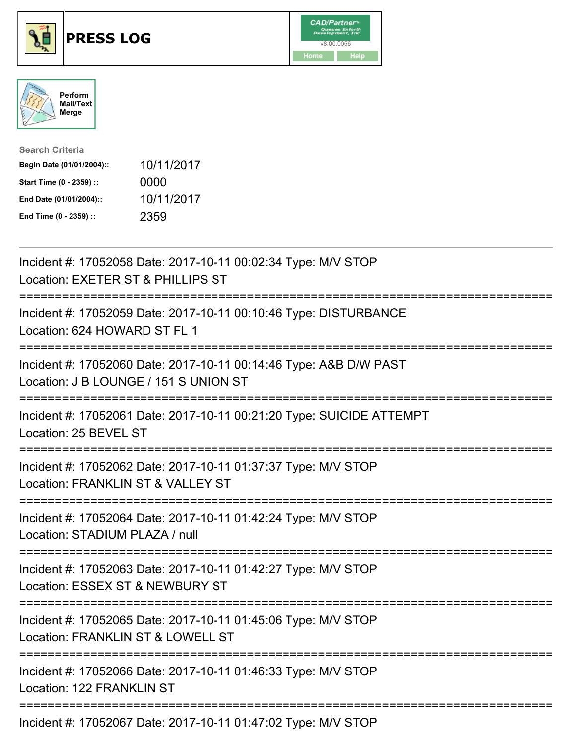





| <b>Search Criteria</b>    |            |
|---------------------------|------------|
| Begin Date (01/01/2004):: | 10/11/2017 |
| Start Time (0 - 2359) ::  | 0000       |
| End Date (01/01/2004)::   | 10/11/2017 |
| End Time (0 - 2359) ::    | 2359       |

| Incident #: 17052058 Date: 2017-10-11 00:02:34 Type: M/V STOP<br>Location: EXETER ST & PHILLIPS ST                                                  |
|-----------------------------------------------------------------------------------------------------------------------------------------------------|
| Incident #: 17052059 Date: 2017-10-11 00:10:46 Type: DISTURBANCE<br>Location: 624 HOWARD ST FL 1                                                    |
| Incident #: 17052060 Date: 2017-10-11 00:14:46 Type: A&B D/W PAST<br>Location: J B LOUNGE / 151 S UNION ST                                          |
| Incident #: 17052061 Date: 2017-10-11 00:21:20 Type: SUICIDE ATTEMPT<br>Location: 25 BEVEL ST<br>:====================                              |
| Incident #: 17052062 Date: 2017-10-11 01:37:37 Type: M/V STOP<br>Location: FRANKLIN ST & VALLEY ST<br>===========================<br>============== |
| Incident #: 17052064 Date: 2017-10-11 01:42:24 Type: M/V STOP<br>Location: STADIUM PLAZA / null                                                     |
| Incident #: 17052063 Date: 2017-10-11 01:42:27 Type: M/V STOP<br>Location: ESSEX ST & NEWBURY ST<br>===========================                     |
| Incident #: 17052065 Date: 2017-10-11 01:45:06 Type: M/V STOP<br>Location: FRANKLIN ST & LOWELL ST<br>:=============================                |
| Incident #: 17052066 Date: 2017-10-11 01:46:33 Type: M/V STOP<br>Location: 122 FRANKLIN ST                                                          |
| Incident #: 17052067 Date: 2017-10-11 01:47:02 Type: M/V STOP                                                                                       |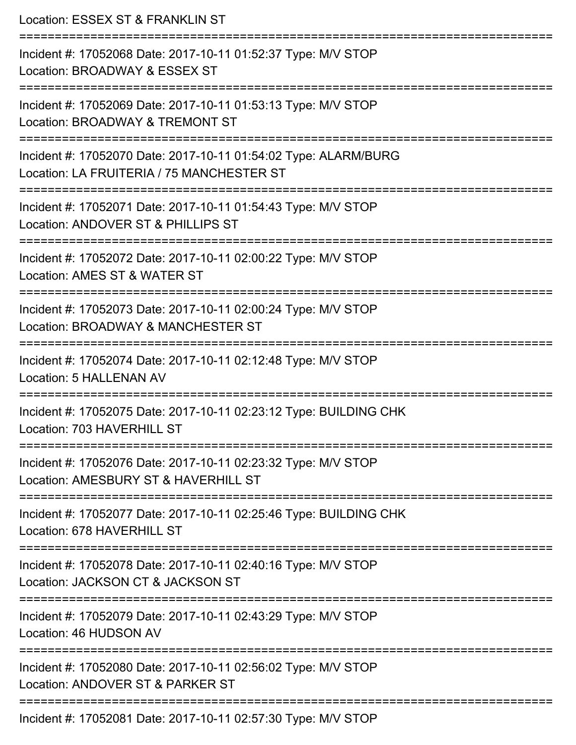Location: ESSEX ST & FRANKLIN ST =========================================================================== Incident #: 17052068 Date: 2017-10-11 01:52:37 Type: M/V STOP Location: BROADWAY & ESSEX ST =========================================================================== Incident #: 17052069 Date: 2017-10-11 01:53:13 Type: M/V STOP Location: BROADWAY & TREMONT ST =========================================================================== Incident #: 17052070 Date: 2017-10-11 01:54:02 Type: ALARM/BURG Location: LA FRUITERIA / 75 MANCHESTER ST =========================================================================== Incident #: 17052071 Date: 2017-10-11 01:54:43 Type: M/V STOP Location: ANDOVER ST & PHILLIPS ST =========================================================================== Incident #: 17052072 Date: 2017-10-11 02:00:22 Type: M/V STOP Location: AMES ST & WATER ST =========================================================================== Incident #: 17052073 Date: 2017-10-11 02:00:24 Type: M/V STOP Location: BROADWAY & MANCHESTER ST =========================================================================== Incident #: 17052074 Date: 2017-10-11 02:12:48 Type: M/V STOP Location: 5 HALLENAN AV =========================================================================== Incident #: 17052075 Date: 2017-10-11 02:23:12 Type: BUILDING CHK Location: 703 HAVERHILL ST =========================================================================== Incident #: 17052076 Date: 2017-10-11 02:23:32 Type: M/V STOP Location: AMESBURY ST & HAVFRHILL ST =========================================================================== Incident #: 17052077 Date: 2017-10-11 02:25:46 Type: BUILDING CHK Location: 678 HAVERHILL ST =========================================================================== Incident #: 17052078 Date: 2017-10-11 02:40:16 Type: M/V STOP Location: JACKSON CT & JACKSON ST =========================================================================== Incident #: 17052079 Date: 2017-10-11 02:43:29 Type: M/V STOP Location: 46 HUDSON AV =========================================================================== Incident #: 17052080 Date: 2017-10-11 02:56:02 Type: M/V STOP Location: ANDOVER ST & PARKER ST =========================================================================== Incident #: 17052081 Date: 2017-10-11 02:57:30 Type: M/V STOP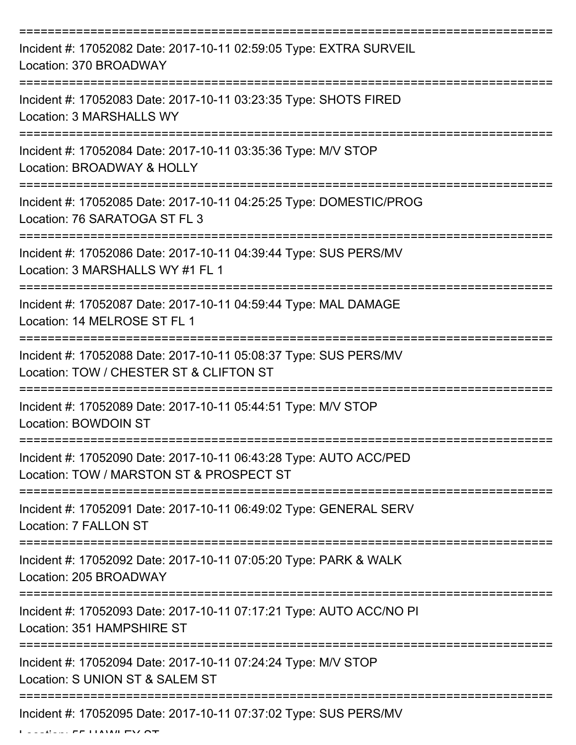| Incident #: 17052082 Date: 2017-10-11 02:59:05 Type: EXTRA SURVEIL<br>Location: 370 BROADWAY                                 |
|------------------------------------------------------------------------------------------------------------------------------|
| Incident #: 17052083 Date: 2017-10-11 03:23:35 Type: SHOTS FIRED<br><b>Location: 3 MARSHALLS WY</b>                          |
| Incident #: 17052084 Date: 2017-10-11 03:35:36 Type: M/V STOP<br>Location: BROADWAY & HOLLY                                  |
| Incident #: 17052085 Date: 2017-10-11 04:25:25 Type: DOMESTIC/PROG<br>Location: 76 SARATOGA ST FL 3                          |
| Incident #: 17052086 Date: 2017-10-11 04:39:44 Type: SUS PERS/MV<br>Location: 3 MARSHALLS WY #1 FL 1                         |
| =========================<br>Incident #: 17052087 Date: 2017-10-11 04:59:44 Type: MAL DAMAGE<br>Location: 14 MELROSE ST FL 1 |
| Incident #: 17052088 Date: 2017-10-11 05:08:37 Type: SUS PERS/MV<br>Location: TOW / CHESTER ST & CLIFTON ST                  |
| Incident #: 17052089 Date: 2017-10-11 05:44:51 Type: M/V STOP<br>Location: BOWDOIN ST                                        |
| Incident #: 17052090 Date: 2017-10-11 06:43:28 Type: AUTO ACC/PED<br>Location: TOW / MARSTON ST & PROSPECT ST                |
| Incident #: 17052091 Date: 2017-10-11 06:49:02 Type: GENERAL SERV<br>Location: 7 FALLON ST                                   |
| Incident #: 17052092 Date: 2017-10-11 07:05:20 Type: PARK & WALK<br>Location: 205 BROADWAY                                   |
| Incident #: 17052093 Date: 2017-10-11 07:17:21 Type: AUTO ACC/NO PI<br>Location: 351 HAMPSHIRE ST                            |
| Incident #: 17052094 Date: 2017-10-11 07:24:24 Type: M/V STOP<br>Location: S UNION ST & SALEM ST                             |
| Incident #: 17052095 Date: 2017-10-11 07:37:02 Type: SUS PERS/MV                                                             |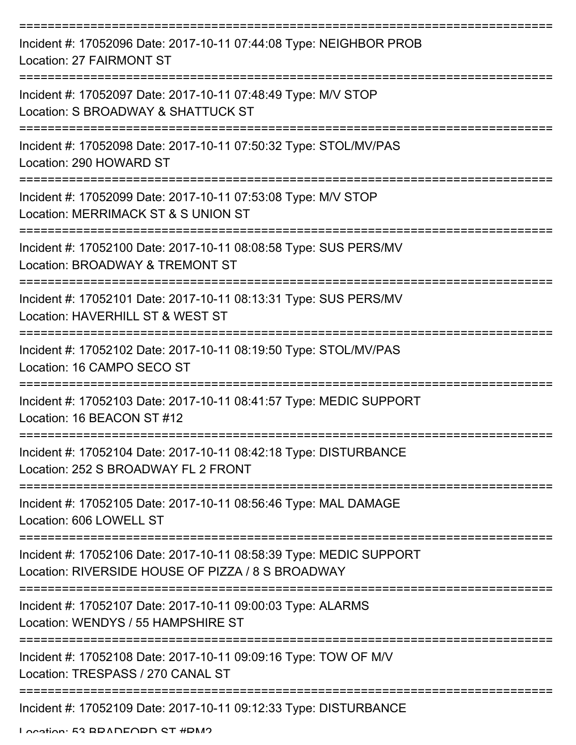| Incident #: 17052096 Date: 2017-10-11 07:44:08 Type: NEIGHBOR PROB<br><b>Location: 27 FAIRMONT ST</b>                   |
|-------------------------------------------------------------------------------------------------------------------------|
| Incident #: 17052097 Date: 2017-10-11 07:48:49 Type: M/V STOP<br>Location: S BROADWAY & SHATTUCK ST                     |
| Incident #: 17052098 Date: 2017-10-11 07:50:32 Type: STOL/MV/PAS<br>Location: 290 HOWARD ST                             |
| Incident #: 17052099 Date: 2017-10-11 07:53:08 Type: M/V STOP<br>Location: MERRIMACK ST & S UNION ST                    |
| Incident #: 17052100 Date: 2017-10-11 08:08:58 Type: SUS PERS/MV<br>Location: BROADWAY & TREMONT ST                     |
| Incident #: 17052101 Date: 2017-10-11 08:13:31 Type: SUS PERS/MV<br>Location: HAVERHILL ST & WEST ST                    |
| Incident #: 17052102 Date: 2017-10-11 08:19:50 Type: STOL/MV/PAS<br>Location: 16 CAMPO SECO ST                          |
| ===========<br>Incident #: 17052103 Date: 2017-10-11 08:41:57 Type: MEDIC SUPPORT<br>Location: 16 BEACON ST #12         |
| Incident #: 17052104 Date: 2017-10-11 08:42:18 Type: DISTURBANCE<br>Location: 252 S BROADWAY FL 2 FRONT                 |
| Incident #: 17052105 Date: 2017-10-11 08:56:46 Type: MAL DAMAGE<br>Location: 606 LOWELL ST                              |
| Incident #: 17052106 Date: 2017-10-11 08:58:39 Type: MEDIC SUPPORT<br>Location: RIVERSIDE HOUSE OF PIZZA / 8 S BROADWAY |
| Incident #: 17052107 Date: 2017-10-11 09:00:03 Type: ALARMS<br>Location: WENDYS / 55 HAMPSHIRE ST                       |
| Incident #: 17052108 Date: 2017-10-11 09:09:16 Type: TOW OF M/V<br>Location: TRESPASS / 270 CANAL ST                    |
| Incident #: 17052109 Date: 2017-10-11 09:12:33 Type: DISTURBANCE                                                        |

Location: 52 BDANEODN ST #DM2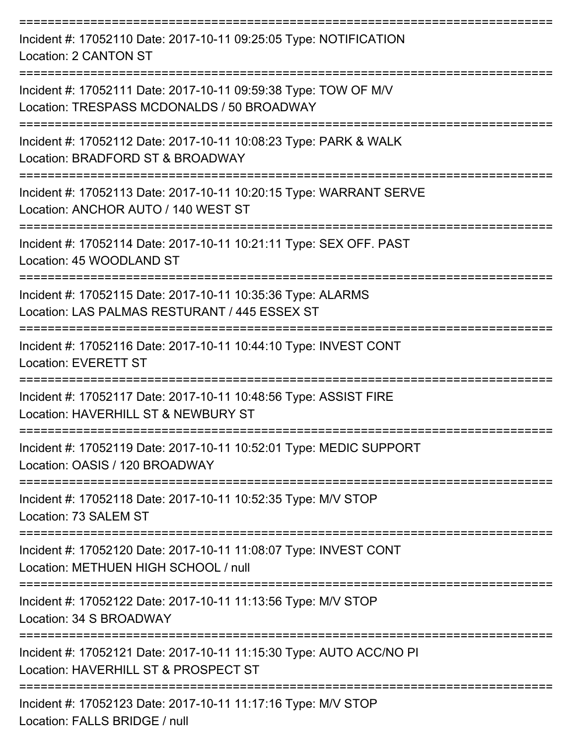| Incident #: 17052110 Date: 2017-10-11 09:25:05 Type: NOTIFICATION<br>Location: 2 CANTON ST                    |
|---------------------------------------------------------------------------------------------------------------|
| Incident #: 17052111 Date: 2017-10-11 09:59:38 Type: TOW OF M/V<br>Location: TRESPASS MCDONALDS / 50 BROADWAY |
| Incident #: 17052112 Date: 2017-10-11 10:08:23 Type: PARK & WALK<br>Location: BRADFORD ST & BROADWAY          |
| Incident #: 17052113 Date: 2017-10-11 10:20:15 Type: WARRANT SERVE<br>Location: ANCHOR AUTO / 140 WEST ST     |
| Incident #: 17052114 Date: 2017-10-11 10:21:11 Type: SEX OFF. PAST<br>Location: 45 WOODLAND ST                |
| Incident #: 17052115 Date: 2017-10-11 10:35:36 Type: ALARMS<br>Location: LAS PALMAS RESTURANT / 445 ESSEX ST  |
| Incident #: 17052116 Date: 2017-10-11 10:44:10 Type: INVEST CONT<br><b>Location: EVERETT ST</b>               |
| Incident #: 17052117 Date: 2017-10-11 10:48:56 Type: ASSIST FIRE<br>Location: HAVERHILL ST & NEWBURY ST       |
| Incident #: 17052119 Date: 2017-10-11 10:52:01 Type: MEDIC SUPPORT<br>Location: OASIS / 120 BROADWAY          |
| Incident #: 17052118 Date: 2017-10-11 10:52:35 Type: M/V STOP<br>Location: 73 SALEM ST                        |
| Incident #: 17052120 Date: 2017-10-11 11:08:07 Type: INVEST CONT<br>Location: METHUEN HIGH SCHOOL / null      |
| Incident #: 17052122 Date: 2017-10-11 11:13:56 Type: M/V STOP<br>Location: 34 S BROADWAY                      |
| Incident #: 17052121 Date: 2017-10-11 11:15:30 Type: AUTO ACC/NO PI<br>Location: HAVERHILL ST & PROSPECT ST   |
| Incident #: 17052123 Date: 2017-10-11 11:17:16 Type: M/V STOP<br>Location: EALLO DDIDOE / pull                |

Location: FALLS BRIDGE / null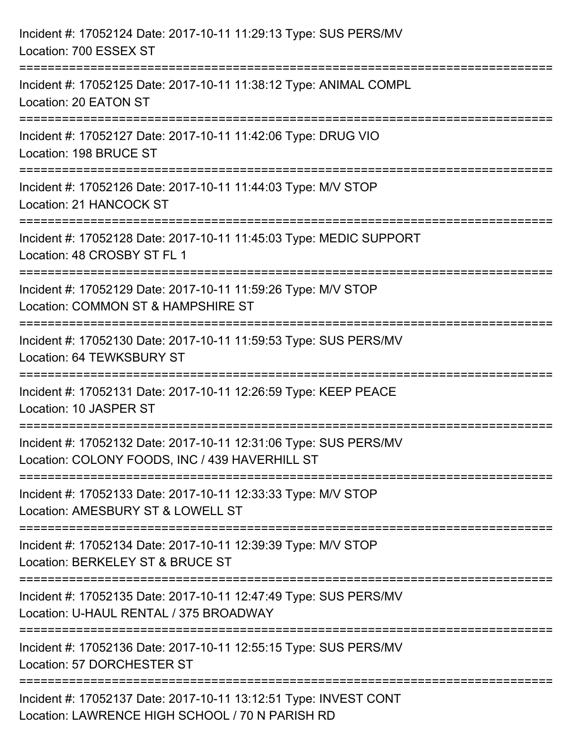| Incident #: 17052124 Date: 2017-10-11 11:29:13 Type: SUS PERS/MV<br>Location: 700 ESSEX ST                                                                           |
|----------------------------------------------------------------------------------------------------------------------------------------------------------------------|
| :===========================<br>Incident #: 17052125 Date: 2017-10-11 11:38:12 Type: ANIMAL COMPL<br>Location: 20 EATON ST                                           |
| Incident #: 17052127 Date: 2017-10-11 11:42:06 Type: DRUG VIO<br>Location: 198 BRUCE ST                                                                              |
| =================================<br>===================================<br>Incident #: 17052126 Date: 2017-10-11 11:44:03 Type: M/V STOP<br>Location: 21 HANCOCK ST |
| Incident #: 17052128 Date: 2017-10-11 11:45:03 Type: MEDIC SUPPORT<br>Location: 48 CROSBY ST FL 1<br>=============================                                   |
| Incident #: 17052129 Date: 2017-10-11 11:59:26 Type: M/V STOP<br>Location: COMMON ST & HAMPSHIRE ST                                                                  |
| Incident #: 17052130 Date: 2017-10-11 11:59:53 Type: SUS PERS/MV<br>Location: 64 TEWKSBURY ST                                                                        |
| Incident #: 17052131 Date: 2017-10-11 12:26:59 Type: KEEP PEACE<br>Location: 10 JASPER ST                                                                            |
| Incident #: 17052132 Date: 2017-10-11 12:31:06 Type: SUS PERS/MV<br>Location: COLONY FOODS, INC / 439 HAVERHILL ST                                                   |
| Incident #: 17052133 Date: 2017-10-11 12:33:33 Type: M/V STOP<br>Location: AMESBURY ST & LOWELL ST                                                                   |
| Incident #: 17052134 Date: 2017-10-11 12:39:39 Type: M/V STOP<br>Location: BERKELEY ST & BRUCE ST                                                                    |
| Incident #: 17052135 Date: 2017-10-11 12:47:49 Type: SUS PERS/MV<br>Location: U-HAUL RENTAL / 375 BROADWAY                                                           |
| Incident #: 17052136 Date: 2017-10-11 12:55:15 Type: SUS PERS/MV<br>Location: 57 DORCHESTER ST                                                                       |
| Incident #: 17052137 Date: 2017-10-11 13:12:51 Type: INVEST CONT<br>Location: LAWRENCE HIGH SCHOOL / 70 N PARISH RD                                                  |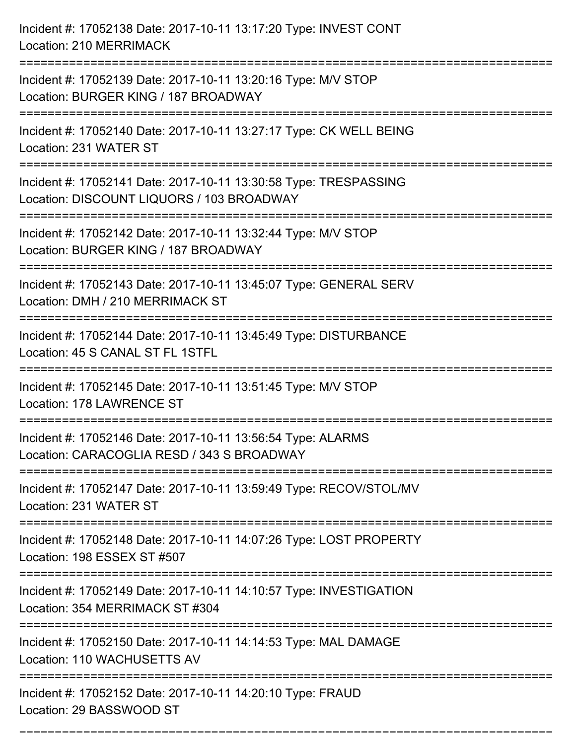| Incident #: 17052138 Date: 2017-10-11 13:17:20 Type: INVEST CONT<br>Location: 210 MERRIMACK                                                         |
|-----------------------------------------------------------------------------------------------------------------------------------------------------|
| Incident #: 17052139 Date: 2017-10-11 13:20:16 Type: M/V STOP<br>Location: BURGER KING / 187 BROADWAY                                               |
| Incident #: 17052140 Date: 2017-10-11 13:27:17 Type: CK WELL BEING<br>Location: 231 WATER ST<br>:=============================                      |
| Incident #: 17052141 Date: 2017-10-11 13:30:58 Type: TRESPASSING<br>Location: DISCOUNT LIQUORS / 103 BROADWAY                                       |
| Incident #: 17052142 Date: 2017-10-11 13:32:44 Type: M/V STOP<br>Location: BURGER KING / 187 BROADWAY                                               |
| Incident #: 17052143 Date: 2017-10-11 13:45:07 Type: GENERAL SERV<br>Location: DMH / 210 MERRIMACK ST                                               |
| Incident #: 17052144 Date: 2017-10-11 13:45:49 Type: DISTURBANCE<br>Location: 45 S CANAL ST FL 1STFL<br>=======================<br>================ |
| Incident #: 17052145 Date: 2017-10-11 13:51:45 Type: M/V STOP<br>Location: 178 LAWRENCE ST                                                          |
| Incident #: 17052146 Date: 2017-10-11 13:56:54 Type: ALARMS<br>Location: CARACOGLIA RESD / 343 S BROADWAY                                           |
| Incident #: 17052147 Date: 2017-10-11 13:59:49 Type: RECOV/STOL/MV<br>Location: 231 WATER ST                                                        |
| Incident #: 17052148 Date: 2017-10-11 14:07:26 Type: LOST PROPERTY<br>Location: 198 ESSEX ST #507                                                   |
| Incident #: 17052149 Date: 2017-10-11 14:10:57 Type: INVESTIGATION<br>Location: 354 MERRIMACK ST #304                                               |
| Incident #: 17052150 Date: 2017-10-11 14:14:53 Type: MAL DAMAGE<br>Location: 110 WACHUSETTS AV                                                      |
| Incident #: 17052152 Date: 2017-10-11 14:20:10 Type: FRAUD<br>Location: 29 BASSWOOD ST                                                              |

===========================================================================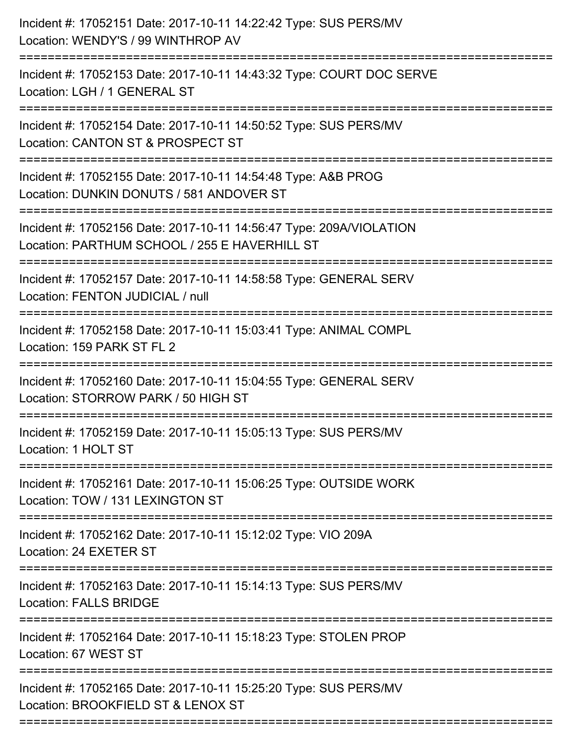| ;=======================<br>:========== | Incident #: 17052151 Date: 2017-10-11 14:22:42 Type: SUS PERS/MV<br>Location: WENDY'S / 99 WINTHROP AV<br>:===================== |
|-----------------------------------------|----------------------------------------------------------------------------------------------------------------------------------|
|                                         | Incident #: 17052153 Date: 2017-10-11 14:43:32 Type: COURT DOC SERVE<br>Location: LGH / 1 GENERAL ST                             |
|                                         | Incident #: 17052154 Date: 2017-10-11 14:50:52 Type: SUS PERS/MV<br>Location: CANTON ST & PROSPECT ST                            |
|                                         | Incident #: 17052155 Date: 2017-10-11 14:54:48 Type: A&B PROG<br>Location: DUNKIN DONUTS / 581 ANDOVER ST                        |
|                                         | Incident #: 17052156 Date: 2017-10-11 14:56:47 Type: 209A/VIOLATION<br>Location: PARTHUM SCHOOL / 255 E HAVERHILL ST             |
|                                         | Incident #: 17052157 Date: 2017-10-11 14:58:58 Type: GENERAL SERV<br>Location: FENTON JUDICIAL / null                            |
|                                         | Incident #: 17052158 Date: 2017-10-11 15:03:41 Type: ANIMAL COMPL<br>Location: 159 PARK ST FL 2                                  |
|                                         | Incident #: 17052160 Date: 2017-10-11 15:04:55 Type: GENERAL SERV<br>Location: STORROW PARK / 50 HIGH ST                         |
|                                         | Incident #: 17052159 Date: 2017-10-11 15:05:13 Type: SUS PERS/MV<br>Location: 1 HOLT ST                                          |
|                                         | Incident #: 17052161 Date: 2017-10-11 15:06:25 Type: OUTSIDE WORK<br>Location: TOW / 131 LEXINGTON ST                            |
|                                         | Incident #: 17052162 Date: 2017-10-11 15:12:02 Type: VIO 209A<br>Location: 24 EXETER ST                                          |
|                                         | Incident #: 17052163 Date: 2017-10-11 15:14:13 Type: SUS PERS/MV<br><b>Location: FALLS BRIDGE</b>                                |
|                                         | Incident #: 17052164 Date: 2017-10-11 15:18:23 Type: STOLEN PROP<br>Location: 67 WEST ST                                         |
|                                         | Incident #: 17052165 Date: 2017-10-11 15:25:20 Type: SUS PERS/MV<br>Location: BROOKFIELD ST & LENOX ST                           |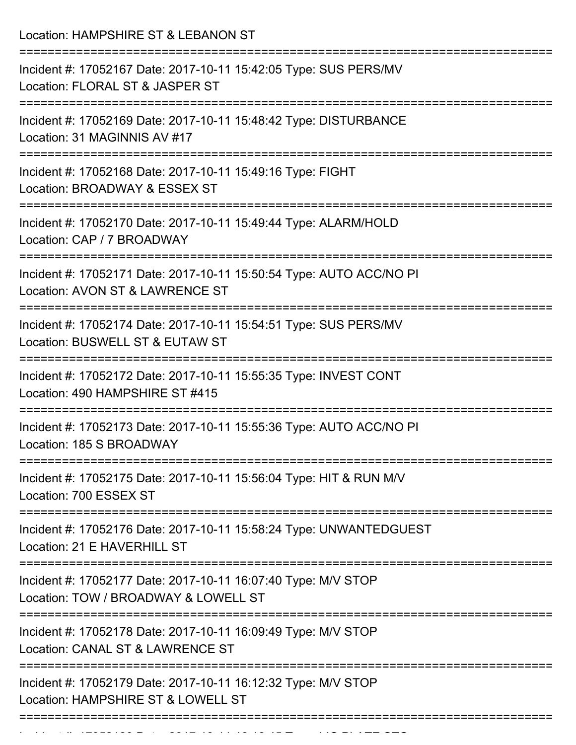Location: HAMPSHIRE ST & LEBANON ST =========================================================================== Incident #: 17052167 Date: 2017-10-11 15:42:05 Type: SUS PERS/MV Location: FLORAL ST & JASPER ST =========================================================================== Incident #: 17052169 Date: 2017-10-11 15:48:42 Type: DISTURBANCE Location: 31 MAGINNIS AV #17 =========================================================================== Incident #: 17052168 Date: 2017-10-11 15:49:16 Type: FIGHT Location: BROADWAY & ESSEX ST =========================================================================== Incident #: 17052170 Date: 2017-10-11 15:49:44 Type: ALARM/HOLD Location: CAP / 7 BROADWAY =========================================================================== Incident #: 17052171 Date: 2017-10-11 15:50:54 Type: AUTO ACC/NO PI Location: AVON ST & LAWRENCE ST =========================================================================== Incident #: 17052174 Date: 2017-10-11 15:54:51 Type: SUS PERS/MV Location: BUSWELL ST & EUTAW ST =========================================================================== Incident #: 17052172 Date: 2017-10-11 15:55:35 Type: INVEST CONT Location: 490 HAMPSHIRE ST #415 =========================================================================== Incident #: 17052173 Date: 2017-10-11 15:55:36 Type: AUTO ACC/NO PI Location: 185 S BROADWAY =========================================================================== Incident #: 17052175 Date: 2017-10-11 15:56:04 Type: HIT & RUN M/V Location: 700 ESSEX ST =========================================================================== Incident #: 17052176 Date: 2017-10-11 15:58:24 Type: UNWANTEDGUEST Location: 21 E HAVERHILL ST =========================================================================== Incident #: 17052177 Date: 2017-10-11 16:07:40 Type: M/V STOP Location: TOW / BROADWAY & LOWELL ST =========================================================================== Incident #: 17052178 Date: 2017-10-11 16:09:49 Type: M/V STOP Location: CANAL ST & LAWRENCE ST =========================================================================== Incident #: 17052179 Date: 2017-10-11 16:12:32 Type: M/V STOP Location: HAMPSHIRE ST & LOWELL ST ===========================================================================

Incident #: 17052180 Date: 2017 10 11 16:16:16:1705 Type: LIC PLATE STOR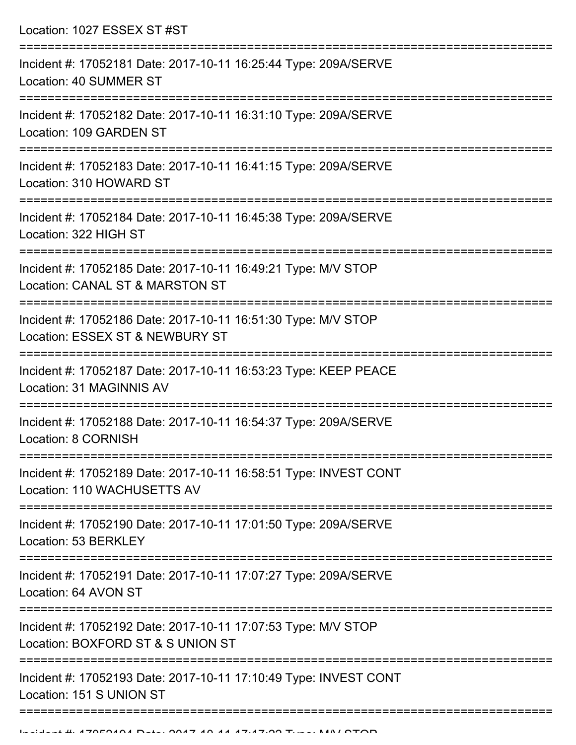| Location: 1027 ESSEX ST #ST                                                                                                                                |
|------------------------------------------------------------------------------------------------------------------------------------------------------------|
| Incident #: 17052181 Date: 2017-10-11 16:25:44 Type: 209A/SERVE<br>Location: 40 SUMMER ST<br>:=================================                            |
| Incident #: 17052182 Date: 2017-10-11 16:31:10 Type: 209A/SERVE<br>Location: 109 GARDEN ST                                                                 |
| Incident #: 17052183 Date: 2017-10-11 16:41:15 Type: 209A/SERVE<br>Location: 310 HOWARD ST                                                                 |
| Incident #: 17052184 Date: 2017-10-11 16:45:38 Type: 209A/SERVE<br>Location: 322 HIGH ST                                                                   |
| Incident #: 17052185 Date: 2017-10-11 16:49:21 Type: M/V STOP<br>Location: CANAL ST & MARSTON ST                                                           |
| Incident #: 17052186 Date: 2017-10-11 16:51:30 Type: M/V STOP<br>Location: ESSEX ST & NEWBURY ST                                                           |
| Incident #: 17052187 Date: 2017-10-11 16:53:23 Type: KEEP PEACE<br>Location: 31 MAGINNIS AV                                                                |
| Incident #: 17052188 Date: 2017-10-11 16:54:37 Type: 209A/SERVE<br>Location: 8 CORNISH<br>=====================================<br>======================= |
| Incident #: 17052189 Date: 2017-10-11 16:58:51 Type: INVEST CONT<br>Location: 110 WACHUSETTS AV                                                            |
| Incident #: 17052190 Date: 2017-10-11 17:01:50 Type: 209A/SERVE<br>Location: 53 BERKLEY                                                                    |
| Incident #: 17052191 Date: 2017-10-11 17:07:27 Type: 209A/SERVE<br>Location: 64 AVON ST                                                                    |
| Incident #: 17052192 Date: 2017-10-11 17:07:53 Type: M/V STOP<br>Location: BOXFORD ST & S UNION ST                                                         |
| Incident #: 17052193 Date: 2017-10-11 17:10:49 Type: INVEST CONT<br>Location: 151 S UNION ST                                                               |
|                                                                                                                                                            |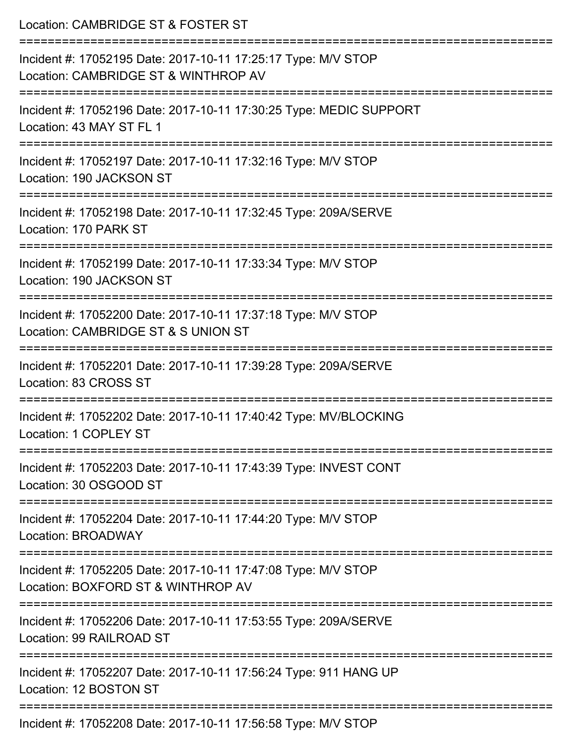| Location: CAMBRIDGE ST & FOSTER ST<br>=================<br>-----------------------------              |
|-------------------------------------------------------------------------------------------------------|
| Incident #: 17052195 Date: 2017-10-11 17:25:17 Type: M/V STOP<br>Location: CAMBRIDGE ST & WINTHROP AV |
| Incident #: 17052196 Date: 2017-10-11 17:30:25 Type: MEDIC SUPPORT<br>Location: 43 MAY ST FL 1        |
| Incident #: 17052197 Date: 2017-10-11 17:32:16 Type: M/V STOP<br>Location: 190 JACKSON ST             |
| Incident #: 17052198 Date: 2017-10-11 17:32:45 Type: 209A/SERVE<br>Location: 170 PARK ST              |
| Incident #: 17052199 Date: 2017-10-11 17:33:34 Type: M/V STOP<br>Location: 190 JACKSON ST             |
| Incident #: 17052200 Date: 2017-10-11 17:37:18 Type: M/V STOP<br>Location: CAMBRIDGE ST & S UNION ST  |
| Incident #: 17052201 Date: 2017-10-11 17:39:28 Type: 209A/SERVE<br>Location: 83 CROSS ST              |
| Incident #: 17052202 Date: 2017-10-11 17:40:42 Type: MV/BLOCKING<br>Location: 1 COPLEY ST             |
| Incident #: 17052203 Date: 2017-10-11 17:43:39 Type: INVEST CONT<br>Location: 30 OSGOOD ST            |
| Incident #: 17052204 Date: 2017-10-11 17:44:20 Type: M/V STOP<br>Location: BROADWAY                   |
| Incident #: 17052205 Date: 2017-10-11 17:47:08 Type: M/V STOP<br>Location: BOXFORD ST & WINTHROP AV   |
| Incident #: 17052206 Date: 2017-10-11 17:53:55 Type: 209A/SERVE<br>Location: 99 RAILROAD ST           |
| Incident #: 17052207 Date: 2017-10-11 17:56:24 Type: 911 HANG UP<br>Location: 12 BOSTON ST            |
| $Inoidont #: 470E9900 \text{ Dato}$ : $9047.40.44.47:ER:EO Tuno: MAY CTON$                            |

Incident #: 17052208 Date: 2017-10-11 17:56:58 Type: M/V STOP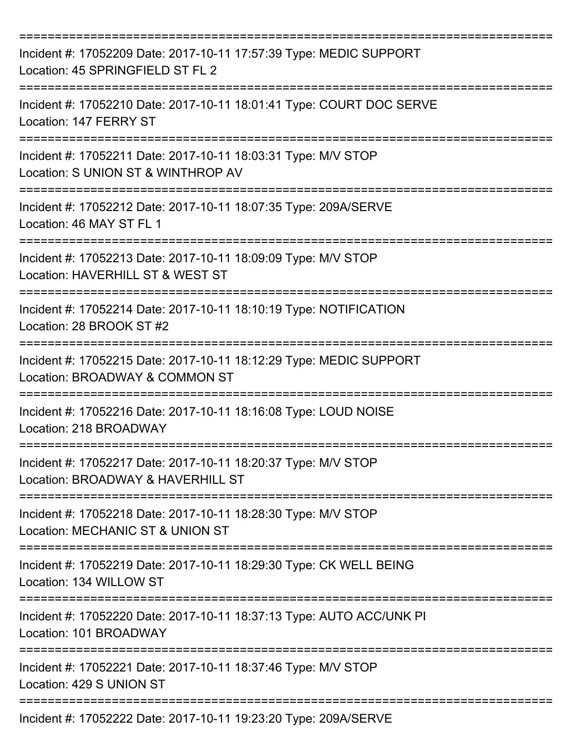| Incident #: 17052209 Date: 2017-10-11 17:57:39 Type: MEDIC SUPPORT<br>Location: 45 SPRINGFIELD ST FL 2 |
|--------------------------------------------------------------------------------------------------------|
| Incident #: 17052210 Date: 2017-10-11 18:01:41 Type: COURT DOC SERVE<br>Location: 147 FERRY ST         |
| Incident #: 17052211 Date: 2017-10-11 18:03:31 Type: M/V STOP<br>Location: S UNION ST & WINTHROP AV    |
| Incident #: 17052212 Date: 2017-10-11 18:07:35 Type: 209A/SERVE<br>Location: 46 MAY ST FL 1            |
| Incident #: 17052213 Date: 2017-10-11 18:09:09 Type: M/V STOP<br>Location: HAVERHILL ST & WEST ST      |
| Incident #: 17052214 Date: 2017-10-11 18:10:19 Type: NOTIFICATION<br>Location: 28 BROOK ST #2          |
| Incident #: 17052215 Date: 2017-10-11 18:12:29 Type: MEDIC SUPPORT<br>Location: BROADWAY & COMMON ST   |
| Incident #: 17052216 Date: 2017-10-11 18:16:08 Type: LOUD NOISE<br>Location: 218 BROADWAY              |
| Incident #: 17052217 Date: 2017-10-11 18:20:37 Type: M/V STOP<br>Location: BROADWAY & HAVERHILL ST     |
| Incident #: 17052218 Date: 2017-10-11 18:28:30 Type: M/V STOP<br>Location: MECHANIC ST & UNION ST      |
| Incident #: 17052219 Date: 2017-10-11 18:29:30 Type: CK WELL BEING<br>Location: 134 WILLOW ST          |
| Incident #: 17052220 Date: 2017-10-11 18:37:13 Type: AUTO ACC/UNK PI<br>Location: 101 BROADWAY         |
| Incident #: 17052221 Date: 2017-10-11 18:37:46 Type: M/V STOP<br>Location: 429 S UNION ST              |
| Incident #: 17052222 Date: 2017-10-11 19:23:20 Type: 209A/SERVE                                        |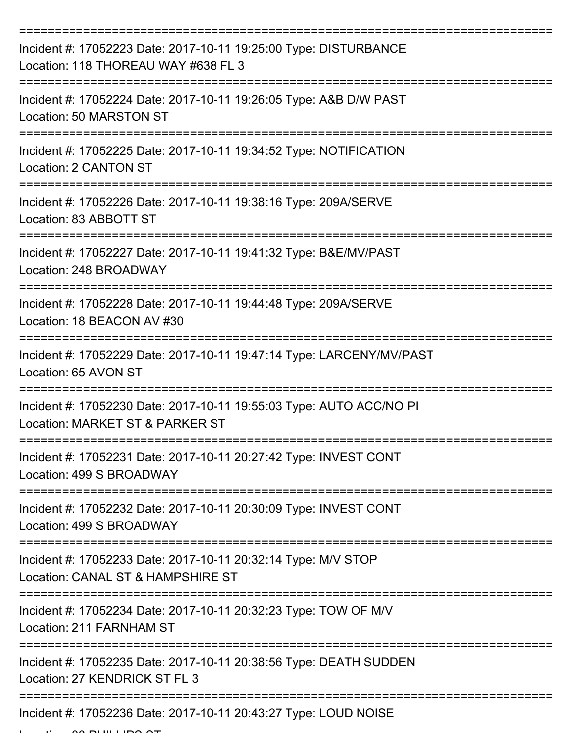| Incident #: 17052223 Date: 2017-10-11 19:25:00 Type: DISTURBANCE<br>Location: 118 THOREAU WAY #638 FL 3 |
|---------------------------------------------------------------------------------------------------------|
| Incident #: 17052224 Date: 2017-10-11 19:26:05 Type: A&B D/W PAST<br>Location: 50 MARSTON ST            |
| Incident #: 17052225 Date: 2017-10-11 19:34:52 Type: NOTIFICATION<br>Location: 2 CANTON ST              |
| Incident #: 17052226 Date: 2017-10-11 19:38:16 Type: 209A/SERVE<br>Location: 83 ABBOTT ST               |
| Incident #: 17052227 Date: 2017-10-11 19:41:32 Type: B&E/MV/PAST<br>Location: 248 BROADWAY              |
| Incident #: 17052228 Date: 2017-10-11 19:44:48 Type: 209A/SERVE<br>Location: 18 BEACON AV #30           |
| Incident #: 17052229 Date: 2017-10-11 19:47:14 Type: LARCENY/MV/PAST<br>Location: 65 AVON ST            |
| Incident #: 17052230 Date: 2017-10-11 19:55:03 Type: AUTO ACC/NO PI<br>Location: MARKET ST & PARKER ST  |
| Incident #: 17052231 Date: 2017-10-11 20:27:42 Type: INVEST CONT<br>Location: 499 S BROADWAY            |
| Incident #: 17052232 Date: 2017-10-11 20:30:09 Type: INVEST CONT<br>Location: 499 S BROADWAY            |
| Incident #: 17052233 Date: 2017-10-11 20:32:14 Type: M/V STOP<br>Location: CANAL ST & HAMPSHIRE ST      |
| Incident #: 17052234 Date: 2017-10-11 20:32:23 Type: TOW OF M/V<br>Location: 211 FARNHAM ST             |
| Incident #: 17052235 Date: 2017-10-11 20:38:56 Type: DEATH SUDDEN<br>Location: 27 KENDRICK ST FL 3      |
| Incident #: 17052236 Date: 2017-10-11 20:43:27 Type: LOUD NOISE                                         |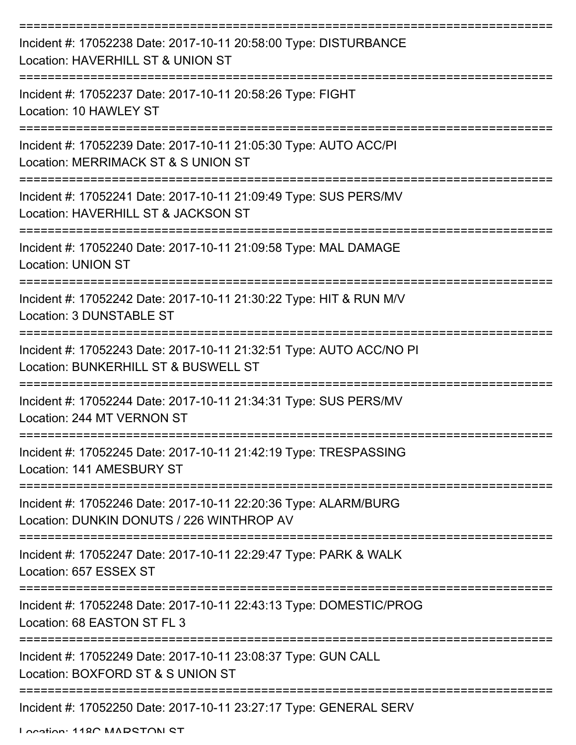| Incident #: 17052238 Date: 2017-10-11 20:58:00 Type: DISTURBANCE<br>Location: HAVERHILL ST & UNION ST        |
|--------------------------------------------------------------------------------------------------------------|
| Incident #: 17052237 Date: 2017-10-11 20:58:26 Type: FIGHT<br>Location: 10 HAWLEY ST                         |
| Incident #: 17052239 Date: 2017-10-11 21:05:30 Type: AUTO ACC/PI<br>Location: MERRIMACK ST & S UNION ST      |
| Incident #: 17052241 Date: 2017-10-11 21:09:49 Type: SUS PERS/MV<br>Location: HAVERHILL ST & JACKSON ST      |
| Incident #: 17052240 Date: 2017-10-11 21:09:58 Type: MAL DAMAGE<br><b>Location: UNION ST</b>                 |
| Incident #: 17052242 Date: 2017-10-11 21:30:22 Type: HIT & RUN M/V<br>Location: 3 DUNSTABLE ST               |
| Incident #: 17052243 Date: 2017-10-11 21:32:51 Type: AUTO ACC/NO PI<br>Location: BUNKERHILL ST & BUSWELL ST  |
| Incident #: 17052244 Date: 2017-10-11 21:34:31 Type: SUS PERS/MV<br>Location: 244 MT VERNON ST               |
| Incident #: 17052245 Date: 2017-10-11 21:42:19 Type: TRESPASSING<br>Location: 141 AMESBURY ST                |
| Incident #: 17052246 Date: 2017-10-11 22:20:36 Type: ALARM/BURG<br>Location: DUNKIN DONUTS / 226 WINTHROP AV |
| Incident #: 17052247 Date: 2017-10-11 22:29:47 Type: PARK & WALK<br>Location: 657 ESSEX ST                   |
| Incident #: 17052248 Date: 2017-10-11 22:43:13 Type: DOMESTIC/PROG<br>Location: 68 EASTON ST FL 3            |
| Incident #: 17052249 Date: 2017-10-11 23:08:37 Type: GUN CALL<br>Location: BOXFORD ST & S UNION ST           |
| Incident #: 17052250 Date: 2017-10-11 23:27:17 Type: GENERAL SERV                                            |

Location: 118C MADSTON ST